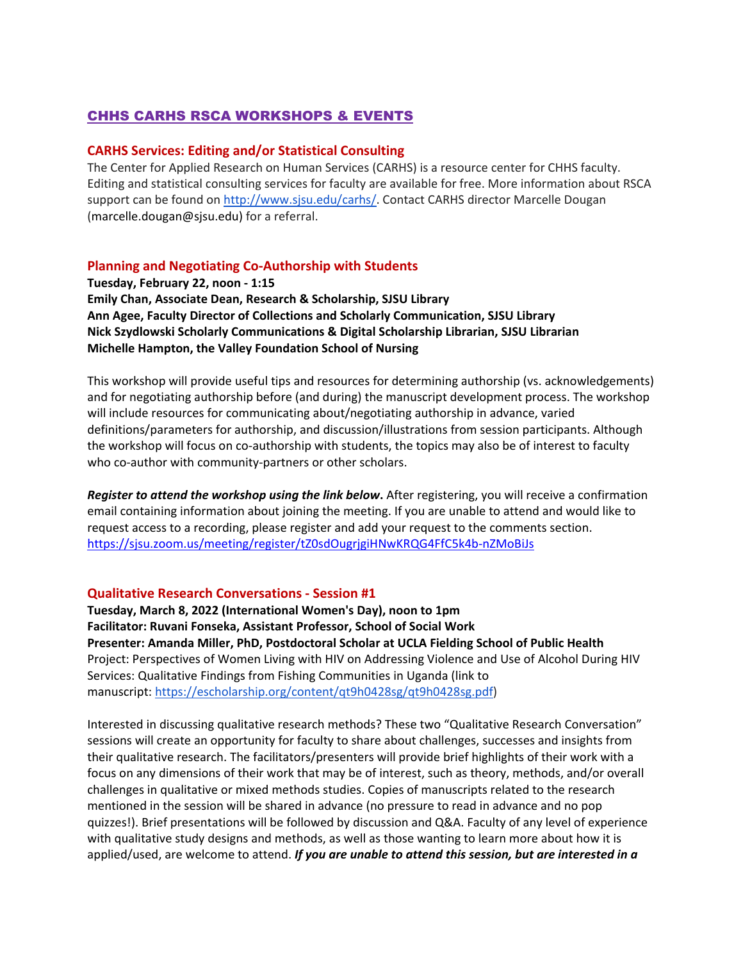# CHHS CARHS RSCA WORKSHOPS & EVENTS

### **CARHS Services: Editing and/or Statistical Consulting**

The Center for Applied Research on Human Services (CARHS) is a resource center for CHHS faculty. Editing and statistical consulting services for faculty are available for free. More information about RSCA support can be found on [http://www.sjsu.edu/carhs/.](http://www.sjsu.edu/carhs/) Contact CARHS director Marcelle Dougan (marcelle.dougan@sjsu.edu) for a referral.

## **Planning and Negotiating Co-Authorship with Students**

**Tuesday, February 22, noon - 1:15 Emily Chan, Associate Dean, Research & Scholarship, SJSU Library Ann Agee, Faculty Director of Collections and Scholarly Communication, SJSU Library Nick Szydlowski Scholarly Communications & Digital Scholarship Librarian, SJSU Librarian Michelle Hampton, the Valley Foundation School of Nursing**

This workshop will provide useful tips and resources for determining authorship (vs. acknowledgements) and for negotiating authorship before (and during) the manuscript development process. The workshop will include resources for communicating about/negotiating authorship in advance, varied definitions/parameters for authorship, and discussion/illustrations from session participants. Although the workshop will focus on co-authorship with students, the topics may also be of interest to faculty who co-author with community-partners or other scholars.

*Register to attend the workshop using the link below***.** After registering, you will receive a confirmation email containing information about joining the meeting. If you are unable to attend and would like to request access to a recording, please register and add your request to the comments section. <https://sjsu.zoom.us/meeting/register/tZ0sdOugrjgiHNwKRQG4FfC5k4b-nZMoBiJs>

### **Qualitative Research Conversations - Session #1**

**Tuesday, March 8, 2022 (International Women's Day), noon to 1pm Facilitator: Ruvani Fonseka, Assistant Professor, School of Social Work Presenter: Amanda Miller, PhD, Postdoctoral Scholar at UCLA Fielding School of Public Health** Project: Perspectives of Women Living with HIV on Addressing Violence and Use of Alcohol During HIV Services: Qualitative Findings from Fishing Communities in Uganda (link to manuscript: [https://escholarship.org/content/qt9h0428sg/qt9h0428sg.pdf\)](https://escholarship.org/content/qt9h0428sg/qt9h0428sg.pdf)

Interested in discussing qualitative research methods? These two "Qualitative Research Conversation" sessions will create an opportunity for faculty to share about challenges, successes and insights from their qualitative research. The facilitators/presenters will provide brief highlights of their work with a focus on any dimensions of their work that may be of interest, such as theory, methods, and/or overall challenges in qualitative or mixed methods studies. Copies of manuscripts related to the research mentioned in the session will be shared in advance (no pressure to read in advance and no pop quizzes!). Brief presentations will be followed by discussion and Q&A. Faculty of any level of experience with qualitative study designs and methods, as well as those wanting to learn more about how it is applied/used, are welcome to attend. *If you are unable to attend this session, but are interested in a*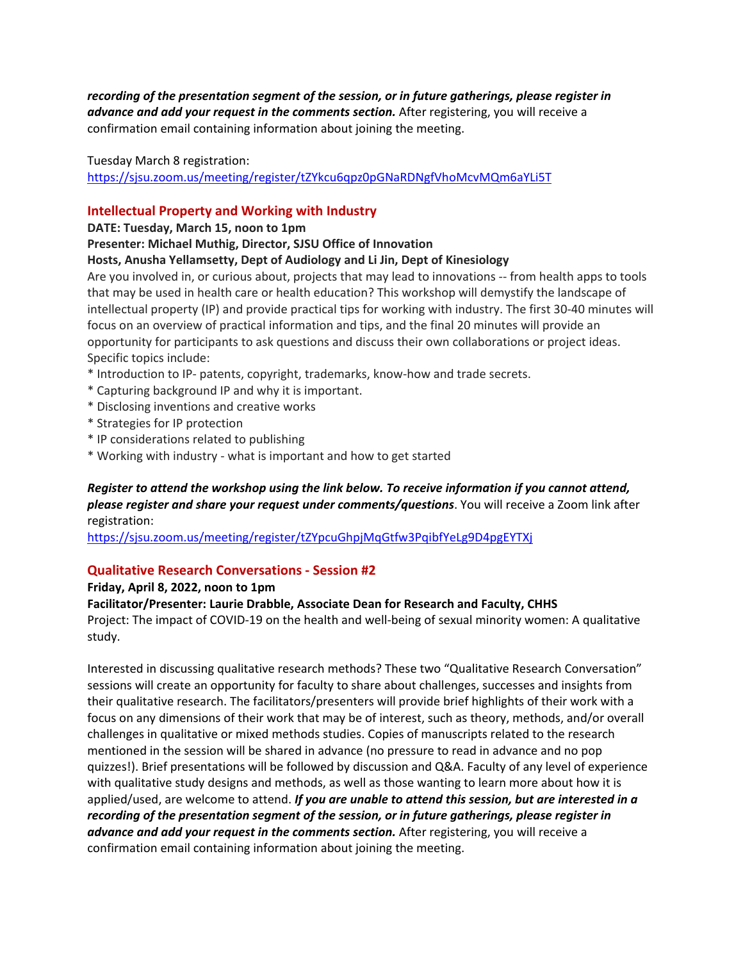*recording of the presentation segment of the session, or in future gatherings, please register in advance and add your request in the comments section.* After registering, you will receive a confirmation email containing information about joining the meeting.

Tuesday March 8 registration:

<https://sjsu.zoom.us/meeting/register/tZYkcu6qpz0pGNaRDNgfVhoMcvMQm6aYLi5T>

## **Intellectual Property and Working with Industry**

**DATE: Tuesday, March 15, noon to 1pm**

### **Presenter: Michael Muthig, Director, SJSU Office of Innovation**

**Hosts, Anusha Yellamsetty, Dept of Audiology and Li Jin, Dept of Kinesiology**

Are you involved in, or curious about, projects that may lead to innovations -- from health apps to tools that may be used in health care or health education? This workshop will demystify the landscape of intellectual property (IP) and provide practical tips for working with industry. The first 30-40 minutes will focus on an overview of practical information and tips, and the final 20 minutes will provide an opportunity for participants to ask questions and discuss their own collaborations or project ideas. Specific topics include:

- \* Introduction to IP- patents, copyright, trademarks, know-how and trade secrets.
- \* Capturing background IP and why it is important.
- \* Disclosing inventions and creative works
- \* Strategies for IP protection
- \* IP considerations related to publishing
- \* Working with industry what is important and how to get started

## *Register to attend the workshop using the link below. To receive information if you cannot attend, please register and share your request under comments/questions*. You will receive a Zoom link after registration:

<https://sjsu.zoom.us/meeting/register/tZYpcuGhpjMqGtfw3PqibfYeLg9D4pgEYTXj>

## **Qualitative Research Conversations - Session #2**

**Friday, April 8, 2022, noon to 1pm**

**Facilitator/Presenter: Laurie Drabble, Associate Dean for Research and Faculty, CHHS**

Project: The impact of COVID-19 on the health and well-being of sexual minority women: A qualitative study.

Interested in discussing qualitative research methods? These two "Qualitative Research Conversation" sessions will create an opportunity for faculty to share about challenges, successes and insights from their qualitative research. The facilitators/presenters will provide brief highlights of their work with a focus on any dimensions of their work that may be of interest, such as theory, methods, and/or overall challenges in qualitative or mixed methods studies. Copies of manuscripts related to the research mentioned in the session will be shared in advance (no pressure to read in advance and no pop quizzes!). Brief presentations will be followed by discussion and Q&A. Faculty of any level of experience with qualitative study designs and methods, as well as those wanting to learn more about how it is applied/used, are welcome to attend. *If you are unable to attend this session, but are interested in a recording of the presentation segment of the session, or in future gatherings, please register in advance and add your request in the comments section.* After registering, you will receive a confirmation email containing information about joining the meeting.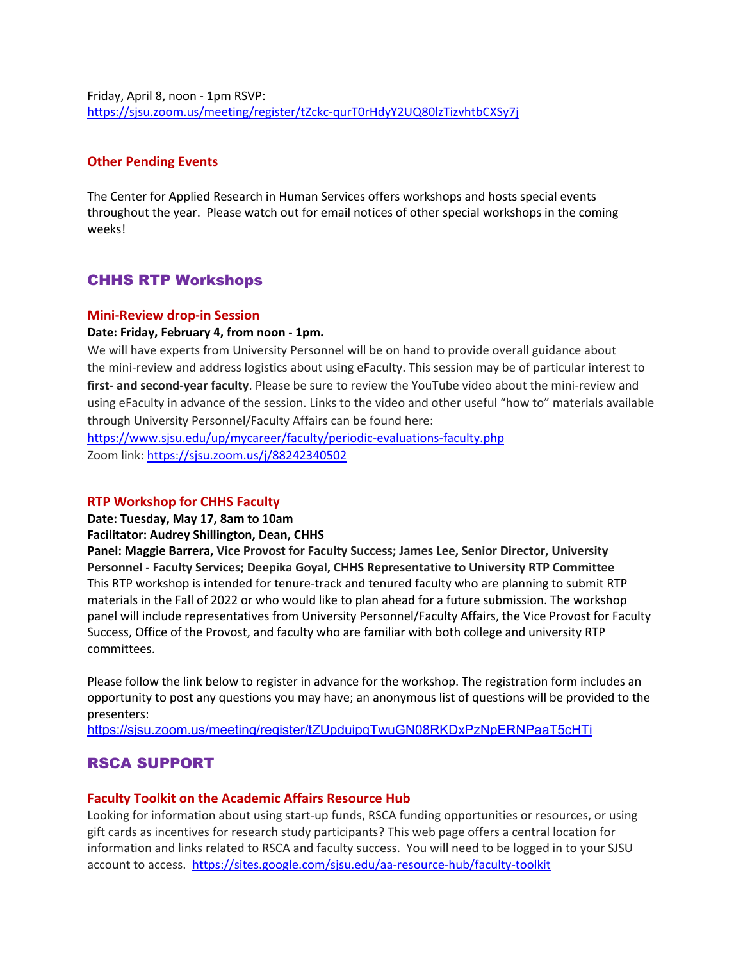Friday, April 8, noon - 1pm RSVP: <https://sjsu.zoom.us/meeting/register/tZckc-qurT0rHdyY2UQ80lzTizvhtbCXSy7j>

### **Other Pending Events**

The Center for Applied Research in Human Services offers workshops and hosts special events throughout the year. Please watch out for email notices of other special workshops in the coming weeks!

## CHHS RTP Workshops

#### **Mini-Review drop-in Session**

#### **Date: Friday, February 4, from noon - 1pm.**

We will have experts from University Personnel will be on hand to provide overall guidance about the mini-review and address logistics about using eFaculty. This session may be of particular interest to **first- and second-year faculty**. Please be sure to review the YouTube video about the mini-review and using eFaculty in advance of the session. Links to the video and other useful "how to" materials available through University Personnel/Faculty Affairs can be found here:

<https://www.sjsu.edu/up/mycareer/faculty/periodic-evaluations-faculty.php> Zoom link:<https://sjsu.zoom.us/j/88242340502>

#### **RTP Workshop for CHHS Faculty**

**Date: Tuesday, May 17, 8am to 10am**

#### **Facilitator: Audrey Shillington, Dean, CHHS**

**Panel: Maggie Barrera, Vice Provost for Faculty Success; James Lee, Senior Director, University Personnel - Faculty Services; Deepika Goyal, CHHS Representative to University RTP Committee** This RTP workshop is intended for tenure-track and tenured faculty who are planning to submit RTP materials in the Fall of 2022 or who would like to plan ahead for a future submission. The workshop panel will include representatives from University Personnel/Faculty Affairs, the Vice Provost for Faculty Success, Office of the Provost, and faculty who are familiar with both college and university RTP committees.

Please follow the link below to register in advance for the workshop. The registration form includes an opportunity to post any questions you may have; an anonymous list of questions will be provided to the presenters:

<https://sjsu.zoom.us/meeting/register/tZUpduipqTwuGN08RKDxPzNpERNPaaT5cHTi>

# RSCA SUPPORT

#### **Faculty Toolkit on the Academic Affairs Resource Hub**

Looking for information about using start-up funds, RSCA funding opportunities or resources, or using gift cards as incentives for research study participants? This web page offers a central location for information and links related to RSCA and faculty success. You will need to be logged in to your SJSU account to access. <https://sites.google.com/sjsu.edu/aa-resource-hub/faculty-toolkit>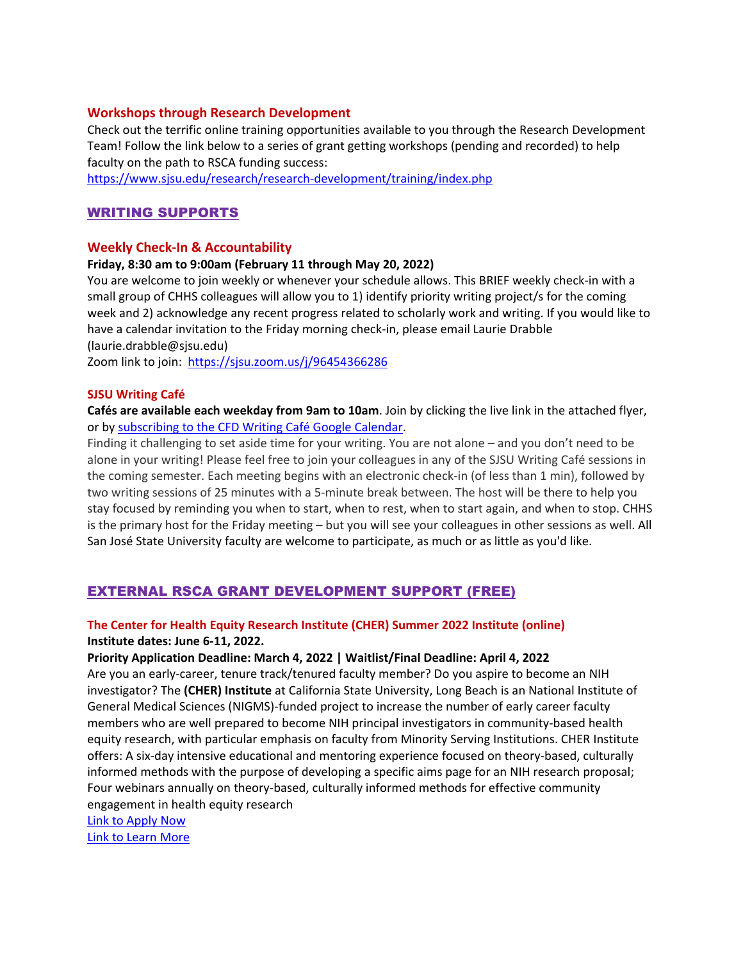### **Workshops through Research Development**

Check out the terrific online training opportunities available to you through the Research Development Team! Follow the link below to a series of grant getting workshops (pending and recorded) to help faculty on the path to RSCA funding success:

<https://www.sjsu.edu/research/research-development/training/index.php>

## WRITING SUPPORTS

### **Weekly Check-In & Accountability**

### **Friday, 8:30 am to 9:00am (February 11 through May 20, 2022)**

You are welcome to join weekly or whenever your schedule allows. This BRIEF weekly check-in with a small group of CHHS colleagues will allow you to 1) identify priority writing project/s for the coming week and 2) acknowledge any recent progress related to scholarly work and writing. If you would like to have a calendar invitation to the Friday morning check-in, please email Laurie Drabble (laurie.drabble@sjsu.edu)

Zoom link to join: <https://sjsu.zoom.us/j/96454366286>

#### **SJSU Writing Café**

**Cafés are available each weekday from 9am to 10am**. Join by clicking the live link in the attached flyer, or by [subscribing to the CFD Writing Café Google Calendar.](https://calendar.google.com/calendar/u/0?cid=Y19qNWVjaGtraXJkYnJmZnM4amViYjNzaWNya0Bncm91cC5jYWxlbmRhci5nb29nbGUuY29t)

Finding it challenging to set aside time for your writing. You are not alone – and you don't need to be alone in your writing! Please feel free to join your colleagues in any of the SJSU Writing Café sessions in the coming semester. Each meeting begins with an electronic check-in (of less than 1 min), followed by two writing sessions of 25 minutes with a 5-minute break between. The host will be there to help you stay focused by reminding you when to start, when to rest, when to start again, and when to stop. CHHS is the primary host for the Friday meeting – but you will see your colleagues in other sessions as well. All San José State University faculty are welcome to participate, as much or as little as you'd like.

# EXTERNAL RSCA GRANT DEVELOPMENT SUPPORT (FREE)

### **The Center for Health Equity Research Institute (CHER) Summer 2022 Institute (online) Institute dates: June 6-11, 2022.**

### **Priority Application Deadline: March 4, 2022 | Waitlist/Final Deadline: April 4, 2022**

Are you an early-career, tenure track/tenured faculty member? Do you aspire to become an NIH investigator? The **(CHER) Institute** at California State University, Long Beach is an National Institute of General Medical Sciences (NIGMS)-funded project to increase the number of early career faculty members who are well prepared to become NIH principal investigators in community-based health equity research, with particular emphasis on faculty from Minority Serving Institutions. CHER Institute offers: A six-day intensive educational and mentoring experience focused on theory-based, culturally informed methods with the purpose of developing a specific aims page for an NIH research proposal; Four webinars annually on theory-based, culturally informed methods for effective community engagement in health equity research

[Link to Apply Now](https://nam10.safelinks.protection.outlook.com/?url=https%3A%2F%2Fsites.csulb.edu%2FHealthEquity%2Fcivicrm%2Fmailing%2Furl%3Fu%3D402%26qid%3D78097&data=04%7C01%7Csupriya%40sfsu.edu%7Cf1f8b4fe23514b31f6d408d9877adeb7%7Cd8fbe335822c41a987747f16709aac9f%7C0%7C0%7C637689784061901345%7CUnknown%7CTWFpbGZsb3d8eyJWIjoiMC4wLjAwMDAiLCJQIjoiV2luMzIiLCJBTiI6Ik1haWwiLCJXVCI6Mn0%3D%7C1000&sdata=07UatkkTYWQ2mEAfQrIVjY2Fn%2BfKvPlaY%2BlX%2BJ7U85U%3D&reserved=0) [Link to Learn More](https://nam10.safelinks.protection.outlook.com/?url=https%3A%2F%2Fsites.csulb.edu%2FHealthEquity%2Fcivicrm%2Fmailing%2Furl%3Fu%3D403%26qid%3D78097&data=04%7C01%7Csupriya%40sfsu.edu%7Cf1f8b4fe23514b31f6d408d9877adeb7%7Cd8fbe335822c41a987747f16709aac9f%7C0%7C0%7C637689784061901345%7CUnknown%7CTWFpbGZsb3d8eyJWIjoiMC4wLjAwMDAiLCJQIjoiV2luMzIiLCJBTiI6Ik1haWwiLCJXVCI6Mn0%3D%7C1000&sdata=WHQXU92V7L1FEXpHTRgzdDwSh%2BnRsAGrTjgJJxygk4E%3D&reserved=0)